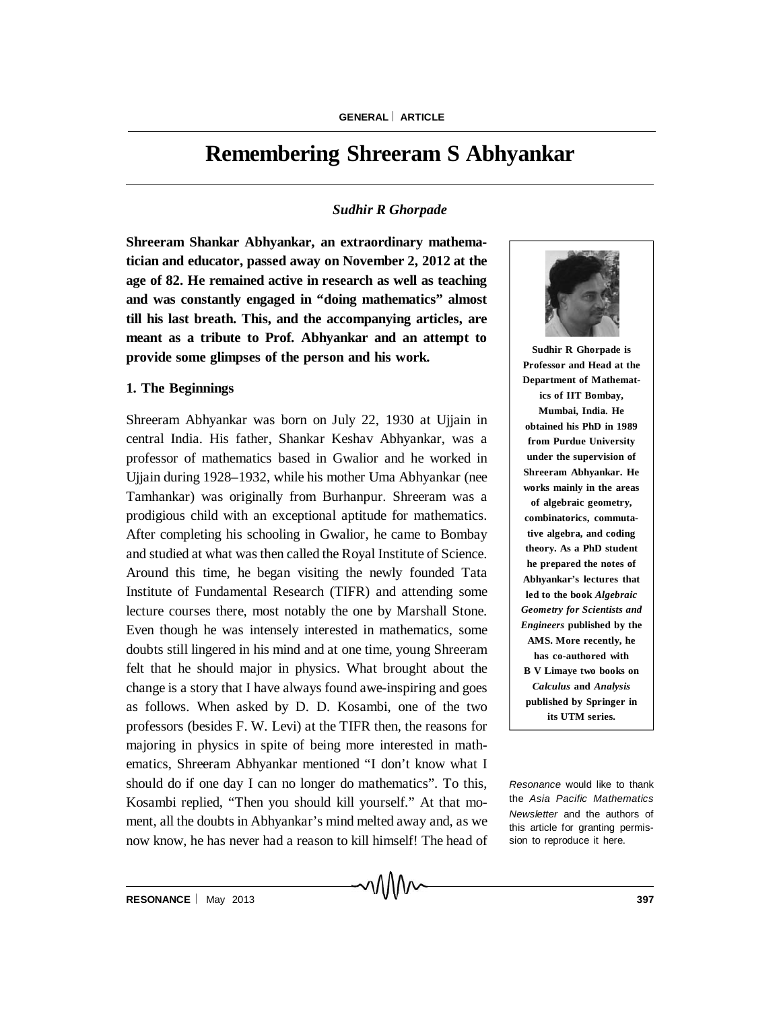# **Remembering Shreeram S Abhyankar**

## *Sudhir R Ghorpade*

**Shreeram Shankar Abhyankar, an extraordinary mathematician and educator, passed away on November 2, 2012 at the age of 82. He remained active in research as well as teaching and was constantly engaged in "doing mathematics" almost till his last breath. This, and the accompanying articles, are meant as a tribute to Prof. Abhyankar and an attempt to provide some glimpses of the person and his work.**

### **1. The Beginnings**

Shreeram Abhyankar was born on July 22, 1930 at Ujjain in central India. His father, Shankar Keshav Abhyankar, was a professor of mathematics based in Gwalior and he worked in Ujjain during 1928–1932, while his mother Uma Abhyankar (nee Tamhankar) was originally from Burhanpur. Shreeram was a prodigious child with an exceptional aptitude for mathematics. After completing his schooling in Gwalior, he came to Bombay and studied at what was then called the Royal Institute of Science. Around this time, he began visiting the newly founded Tata Institute of Fundamental Research (TIFR) and attending some lecture courses there, most notably the one by Marshall Stone. Even though he was intensely interested in mathematics, some doubts still lingered in his mind and at one time, young Shreeram felt that he should major in physics. What brought about the change is a story that I have always found awe-inspiring and goes as follows. When asked by D. D. Kosambi, one of the two professors (besides F. W. Levi) at the TIFR then, the reasons for majoring in physics in spite of being more interested in mathematics, Shreeram Abhyankar mentioned "I don't know what I should do if one day I can no longer do mathematics". To this, Kosambi replied, "Then you should kill yourself." At that moment, all the doubts in Abhyankar's mind melted away and, as we now know, he has never had a reason to kill himself! The head of

MMM



**Professor and Head at the Department of Mathematics of IIT Bombay, Mumbai, India. He obtained his PhD in 1989 from Purdue University under the supervision of Shreeram Abhyankar. He works mainly in the areas of algebraic geometry, combinatorics, commutative algebra, and coding theory. As a PhD student he prepared the notes of Abhyankar's lectures that led to the book** *Algebraic Geometry for Scientists and Engineers* **published by the AMS. More recently, he has co-authored with B V Limaye two books on** *Calculus* **and** *Analysis* **published by Springer in its UTM series.**

*Resonance* would like to thank the *Asia Pacific Mathematics Newsletter* and the authors of this article for granting permission to reproduce it here.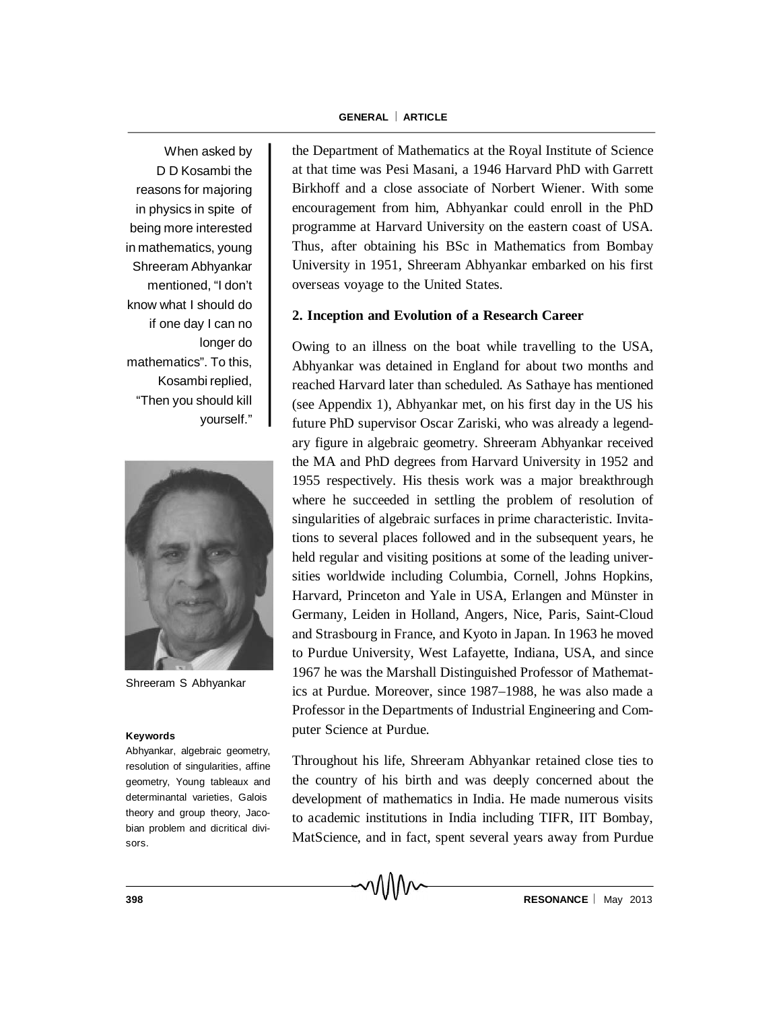When asked by D D Kosambi the reasons for majoring in physics in spite of being more interested in mathematics, young Shreeram Abhyankar mentioned, "I don't know what I should do if one day I can no longer do mathematics". To this, Kosambi replied, "Then you should kill yourself."



Shreeram S Abhyankar

#### **Keywords**

Abhyankar, algebraic geometry, resolution of singularities, affine geometry, Young tableaux and determinantal varieties, Galois theory and group theory, Jacobian problem and dicritical divisors.

the Department of Mathematics at the Royal Institute of Science at that time was Pesi Masani, a 1946 Harvard PhD with Garrett Birkhoff and a close associate of Norbert Wiener. With some encouragement from him, Abhyankar could enroll in the PhD programme at Harvard University on the eastern coast of USA. Thus, after obtaining his BSc in Mathematics from Bombay University in 1951, Shreeram Abhyankar embarked on his first overseas voyage to the United States.

# **2. Inception and Evolution of a Research Career**

Owing to an illness on the boat while travelling to the USA, Abhyankar was detained in England for about two months and reached Harvard later than scheduled. As Sathaye has mentioned (see Appendix 1), Abhyankar met, on his first day in the US his future PhD supervisor Oscar Zariski, who was already a legendary figure in algebraic geometry. Shreeram Abhyankar received the MA and PhD degrees from Harvard University in 1952 and 1955 respectively. His thesis work was a major breakthrough where he succeeded in settling the problem of resolution of singularities of algebraic surfaces in prime characteristic. Invitations to several places followed and in the subsequent years, he held regular and visiting positions at some of the leading universities worldwide including Columbia, Cornell, Johns Hopkins, Harvard, Princeton and Yale in USA, Erlangen and Münster in Germany, Leiden in Holland, Angers, Nice, Paris, Saint-Cloud and Strasbourg in France, and Kyoto in Japan. In 1963 he moved to Purdue University, West Lafayette, Indiana, USA, and since 1967 he was the Marshall Distinguished Professor of Mathematics at Purdue. Moreover, since 1987–1988, he was also made a Professor in the Departments of Industrial Engineering and Computer Science at Purdue.

Throughout his life, Shreeram Abhyankar retained close ties to the country of his birth and was deeply concerned about the development of mathematics in India. He made numerous visits to academic institutions in India including TIFR, IIT Bombay, MatScience, and in fact, spent several years away from Purdue

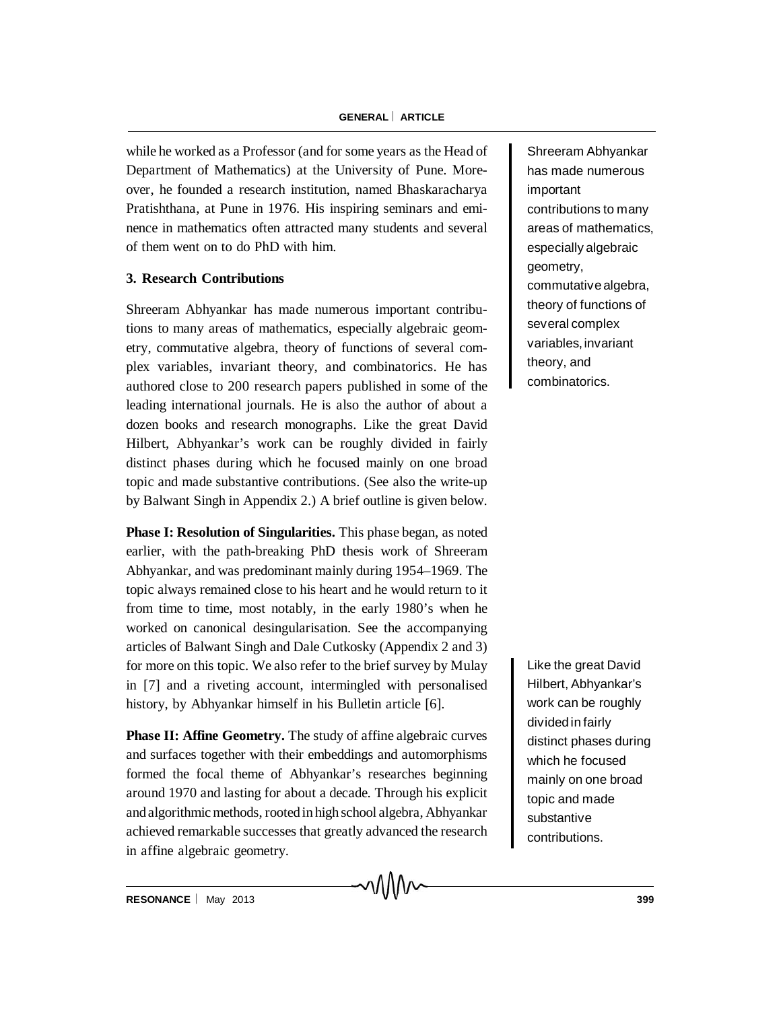while he worked as a Professor (and for some years as the Head of Department of Mathematics) at the University of Pune. Moreover, he founded a research institution, named Bhaskaracharya Pratishthana, at Pune in 1976. His inspiring seminars and eminence in mathematics often attracted many students and several of them went on to do PhD with him.

# **3. Research Contributions**

Shreeram Abhyankar has made numerous important contributions to many areas of mathematics, especially algebraic geometry, commutative algebra, theory of functions of several complex variables, invariant theory, and combinatorics. He has authored close to 200 research papers published in some of the leading international journals. He is also the author of about a dozen books and research monographs. Like the great David Hilbert, Abhyankar's work can be roughly divided in fairly distinct phases during which he focused mainly on one broad topic and made substantive contributions. (See also the write-up by Balwant Singh in Appendix 2.) A brief outline is given below.

**Phase I: Resolution of Singularities.** This phase began, as noted earlier, with the path-breaking PhD thesis work of Shreeram Abhyankar, and was predominant mainly during 1954–1969. The topic always remained close to his heart and he would return to it from time to time, most notably, in the early 1980's when he worked on canonical desingularisation. See the accompanying articles of Balwant Singh and Dale Cutkosky (Appendix 2 and 3) for more on this topic. We also refer to the brief survey by Mulay in [7] and a riveting account, intermingled with personalised history, by Abhyankar himself in his Bulletin article [6].

**Phase II: Affine Geometry.** The study of affine algebraic curves and surfaces together with their embeddings and automorphisms formed the focal theme of Abhyankar's researches beginning around 1970 and lasting for about a decade. Through his explicit and algorithmic methods, rootedin high school algebra, Abhyankar achieved remarkable successes that greatly advanced the research in affine algebraic geometry.

Shreeram Abhyankar has made numerous important contributions to many areas of mathematics, especially algebraic geometry, commutative algebra, theory of functions of several complex variables, invariant theory, and combinatorics.

Like the great David Hilbert, Abhyankar's work can be roughly divided in fairly distinct phases during which he focused mainly on one broad topic and made substantive contributions.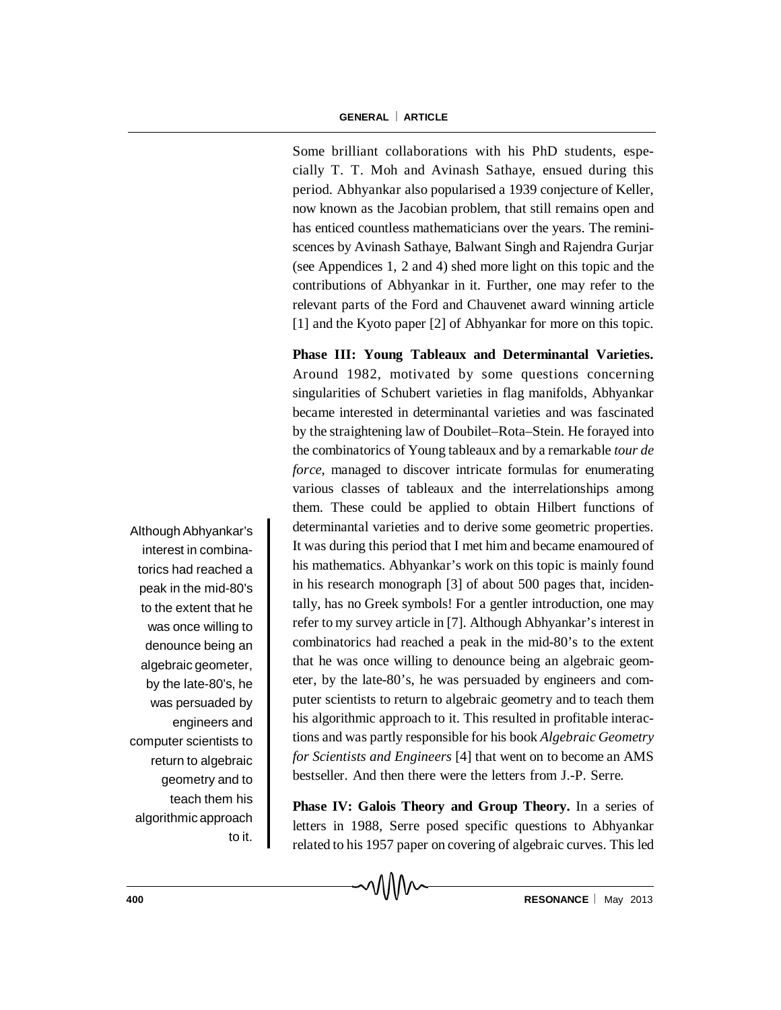Some brilliant collaborations with his PhD students, especially T. T. Moh and Avinash Sathaye, ensued during this period. Abhyankar also popularised a 1939 conjecture of Keller, now known as the Jacobian problem, that still remains open and has enticed countless mathematicians over the years. The reminiscences by Avinash Sathaye, Balwant Singh and Rajendra Gurjar (see Appendices 1, 2 and 4) shed more light on this topic and the contributions of Abhyankar in it. Further, one may refer to the relevant parts of the Ford and Chauvenet award winning article [1] and the Kyoto paper [2] of Abhyankar for more on this topic.

**Phase III: Young Tableaux and Determinantal Varieties.** Around 1982, motivated by some questions concerning singularities of Schubert varieties in flag manifolds, Abhyankar became interested in determinantal varieties and was fascinated by the straightening law of Doubilet–Rota–Stein. He forayed into the combinatorics of Young tableaux and by a remarkable *tour de force*, managed to discover intricate formulas for enumerating various classes of tableaux and the interrelationships among them. These could be applied to obtain Hilbert functions of determinantal varieties and to derive some geometric properties. It was during this period that I met him and became enamoured of his mathematics. Abhyankar's work on this topic is mainly found in his research monograph [3] of about 500 pages that, incidentally, has no Greek symbols! For a gentler introduction, one may refer to my survey article in [7]. Although Abhyankar's interest in combinatorics had reached a peak in the mid-80's to the extent that he was once willing to denounce being an algebraic geometer, by the late-80's, he was persuaded by engineers and computer scientists to return to algebraic geometry and to teach them his algorithmic approach to it. This resulted in profitable interactions and was partly responsible for his book *Algebraic Geometry for Scientists and Engineers* [4] that went on to become an AMS bestseller. And then there were the letters from J.-P. Serre.

**Phase IV: Galois Theory and Group Theory.** In a series of letters in 1988, Serre posed specific questions to Abhyankar related to his 1957 paper on covering of algebraic curves. This led

MM

Although Abhyankar's interest in combinatorics had reached a peak in the mid-80's to the extent that he was once willing to denounce being an algebraic geometer, by the late-80's, he was persuaded by engineers and computer scientists to return to algebraic geometry and to teach them his algorithmic approach to it.

**400 RESONANCE** │ May 2013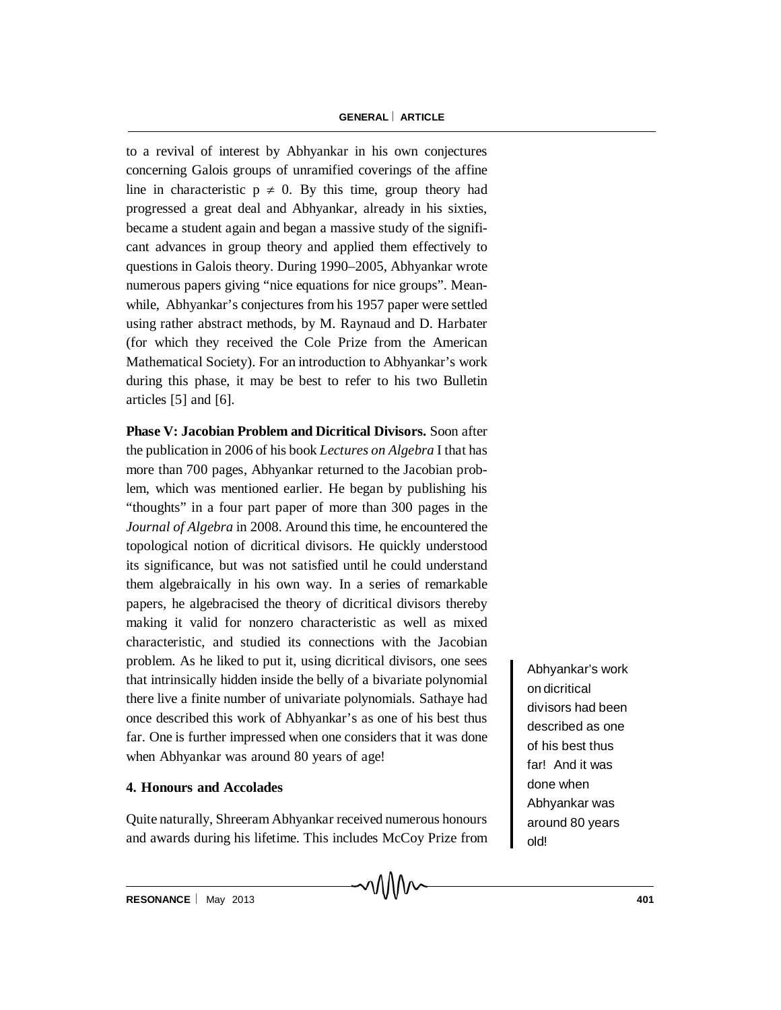to a revival of interest by Abhyankar in his own conjectures concerning Galois groups of unramified coverings of the affine line in characteristic  $p \neq 0$ . By this time, group theory had progressed a great deal and Abhyankar, already in his sixties, became a student again and began a massive study of the significant advances in group theory and applied them effectively to questions in Galois theory. During 1990–2005, Abhyankar wrote numerous papers giving "nice equations for nice groups". Meanwhile, Abhyankar's conjectures from his 1957 paper were settled using rather abstract methods, by M. Raynaud and D. Harbater (for which they received the Cole Prize from the American Mathematical Society). For an introduction to Abhyankar's work during this phase, it may be best to refer to his two Bulletin articles [5] and [6].

**Phase V: Jacobian Problem and Dicritical Divisors.** Soon after the publication in 2006 of his book *Lectures on Algebra* I that has more than 700 pages, Abhyankar returned to the Jacobian problem, which was mentioned earlier. He began by publishing his "thoughts" in a four part paper of more than 300 pages in the *Journal of Algebra* in 2008. Around this time, he encountered the topological notion of dicritical divisors. He quickly understood its significance, but was not satisfied until he could understand them algebraically in his own way. In a series of remarkable papers, he algebracised the theory of dicritical divisors thereby making it valid for nonzero characteristic as well as mixed characteristic, and studied its connections with the Jacobian problem. As he liked to put it, using dicritical divisors, one sees that intrinsically hidden inside the belly of a bivariate polynomial there live a finite number of univariate polynomials. Sathaye had once described this work of Abhyankar's as one of his best thus far. One is further impressed when one considers that it was done when Abhyankar was around 80 years of age!

# **4. Honours and Accolades**

Quite naturally, Shreeram Abhyankar received numerous honours and awards during his lifetime. This includes McCoy Prize from

Abhyankar's work on dicritical divisors had been described as one of his best thus far! And it was done when Abhyankar was around 80 years old!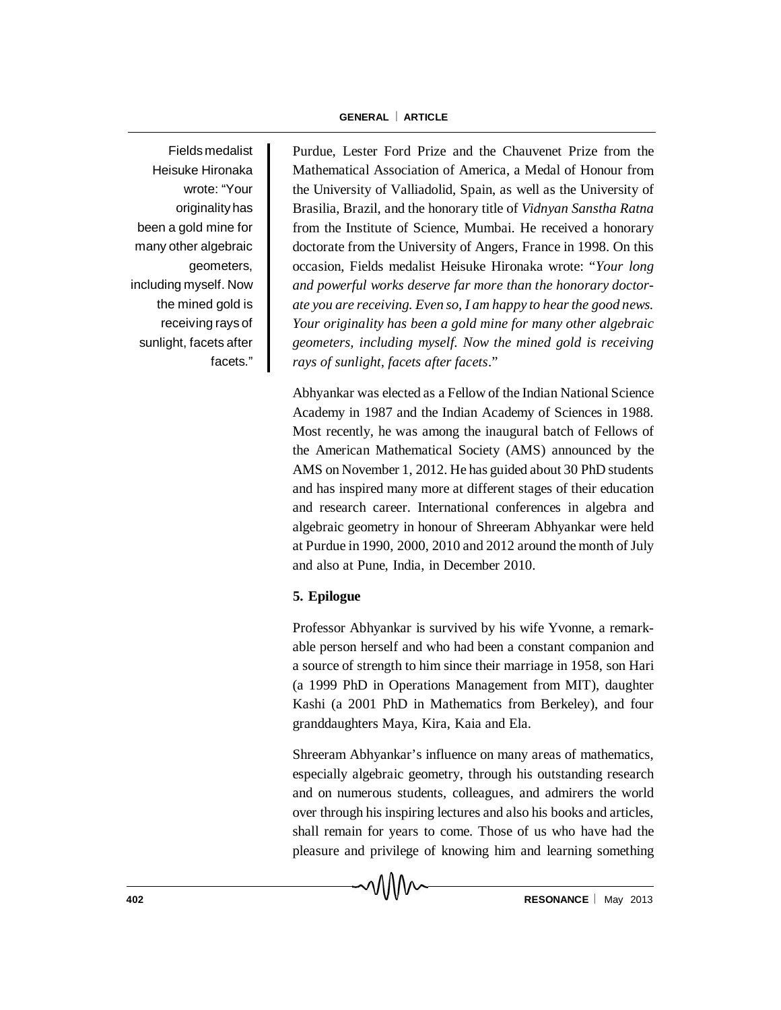Fields medalist Heisuke Hironaka wrote: "Your originality has been a gold mine for many other algebraic geometers, including myself. Now the mined gold is receiving rays of sunlight, facets after facets."

Purdue, Lester Ford Prize and the Chauvenet Prize from the Mathematical Association of America, a Medal of Honour from the University of Valliadolid, Spain, as well as the University of Brasilia, Brazil, and the honorary title of *Vidnyan Sanstha Ratna* from the Institute of Science, Mumbai. He received a honorary doctorate from the University of Angers, France in 1998. On this occasion, Fields medalist Heisuke Hironaka wrote: "*Your long and powerful works deserve far more than the honorary doctorate you are receiving. Even so, I am happy to hear the good news. Your originality has been a gold mine for many other algebraic geometers, including myself. Now the mined gold is receiving rays of sunlight, facets after facets*."

Abhyankar was elected as a Fellow of the Indian National Science Academy in 1987 and the Indian Academy of Sciences in 1988. Most recently, he was among the inaugural batch of Fellows of the American Mathematical Society (AMS) announced by the AMS on November 1, 2012. He has guided about 30 PhD students and has inspired many more at different stages of their education and research career. International conferences in algebra and algebraic geometry in honour of Shreeram Abhyankar were held at Purdue in 1990, 2000, 2010 and 2012 around the month of July and also at Pune, India, in December 2010.

# **5. Epilogue**

Professor Abhyankar is survived by his wife Yvonne, a remarkable person herself and who had been a constant companion and a source of strength to him since their marriage in 1958, son Hari (a 1999 PhD in Operations Management from MIT), daughter Kashi (a 2001 PhD in Mathematics from Berkeley), and four granddaughters Maya, Kira, Kaia and Ela.

Shreeram Abhyankar's influence on many areas of mathematics, especially algebraic geometry, through his outstanding research and on numerous students, colleagues, and admirers the world over through his inspiring lectures and also his books and articles, shall remain for years to come. Those of us who have had the pleasure and privilege of knowing him and learning something

៶៱៱៱៷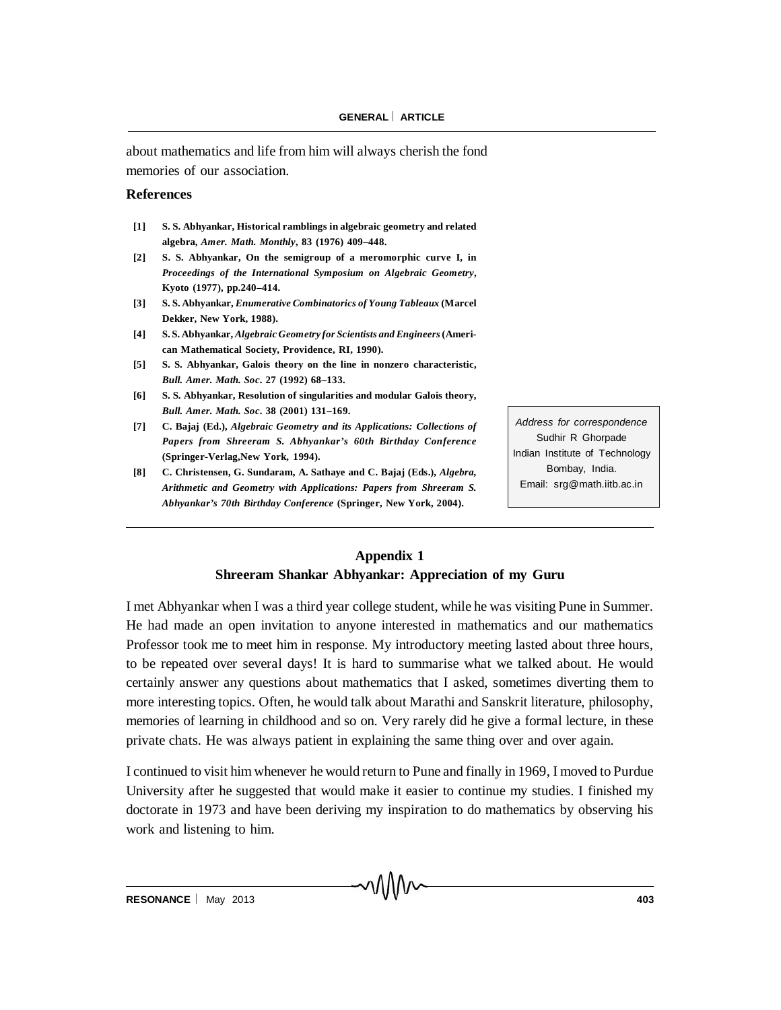about mathematics and life from him will always cherish the fond memories of our association.

#### **References**

- **[1] S. S. Abhyankar, Historical ramblings in algebraic geometry and related algebra,** *Amer. Math. Monthly***, 83 (1976) 409–448.**
- **[2] S. S. Abhyankar, On the semigroup of a meromorphic curve I, in** *Proceedings of the International Symposium on Algebraic Geometry***, Kyoto (1977), pp.240–414.**
- **[3] S. S. Abhyankar,** *Enumerative Combinatorics of Young Tableaux* **(Marcel Dekker, New York, 1988).**
- **[4] S. S. Abhyankar,** *Algebraic Geometry for Scientists and Engineers***(American Mathematical Society, Providence, RI, 1990).**
- **[5] S. S. Abhyankar, Galois theory on the line in nonzero characteristic,** *Bull. Amer. Math. Soc***. 27 (1992) 68–133.**
- **[6] S. S. Abhyankar, Resolution of singularities and modular Galois theory,** *Bull. Amer. Math. Soc***. 38 (2001) 131–169.**
- **[7] C. Bajaj (Ed.),** *Algebraic Geometry and its Applications: Collections of Papers from Shreeram S. Abhyankar's 60th Birthday Conference* **(Springer-Verlag,New York, 1994).**
- **[8] C. Christensen, G. Sundaram, A. Sathaye and C. Bajaj (Eds.),** *Algebra, Arithmetic and Geometry with Applications: Papers from Shreeram S. Abhyankar's 70th Birthday Conference* **(Springer, New York, 2004).**

*Address for correspondence* Sudhir R Ghorpade Indian Institute of Technology Bombay, India. Email: srg@math.iitb.ac.in

# **Appendix 1 Shreeram Shankar Abhyankar: Appreciation of my Guru**

I met Abhyankar when I was a third year college student, while he was visiting Pune in Summer. He had made an open invitation to anyone interested in mathematics and our mathematics Professor took me to meet him in response. My introductory meeting lasted about three hours, to be repeated over several days! It is hard to summarise what we talked about. He would certainly answer any questions about mathematics that I asked, sometimes diverting them to more interesting topics. Often, he would talk about Marathi and Sanskrit literature, philosophy, memories of learning in childhood and so on. Very rarely did he give a formal lecture, in these private chats. He was always patient in explaining the same thing over and over again.

I continued to visit him whenever he would return to Pune and finally in 1969, I moved to Purdue University after he suggested that would make it easier to continue my studies. I finished my doctorate in 1973 and have been deriving my inspiration to do mathematics by observing his work and listening to him.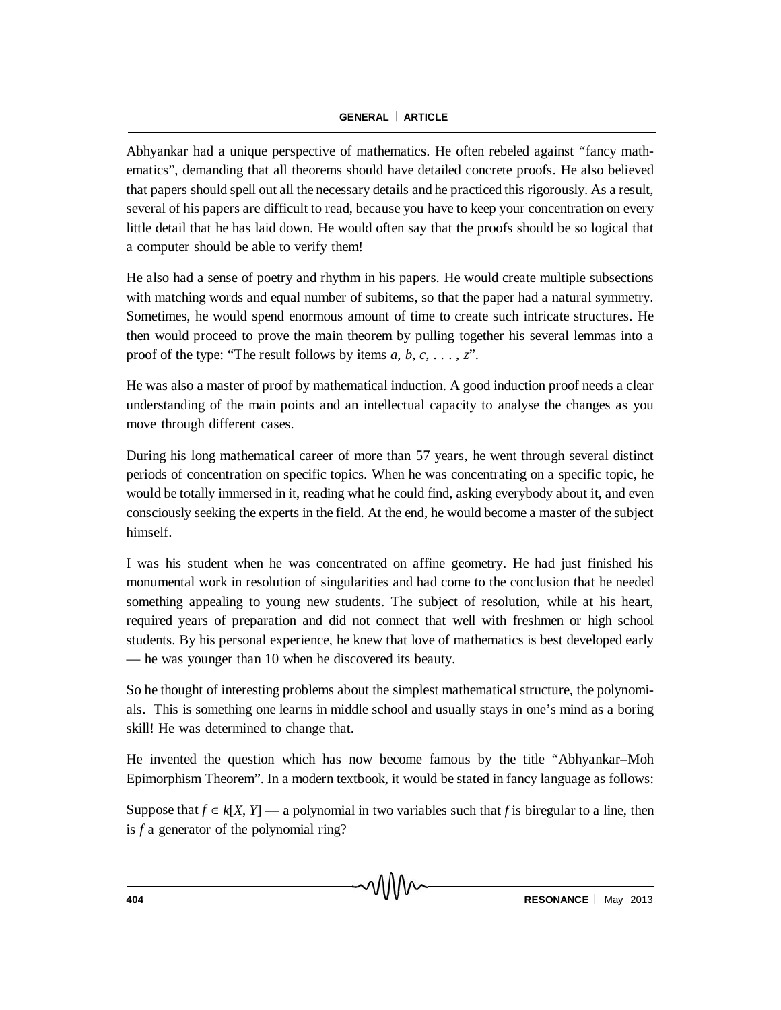Abhyankar had a unique perspective of mathematics. He often rebeled against "fancy mathematics", demanding that all theorems should have detailed concrete proofs. He also believed that papers should spell out all the necessary details and he practiced this rigorously. As a result, several of his papers are difficult to read, because you have to keep your concentration on every little detail that he has laid down. He would often say that the proofs should be so logical that a computer should be able to verify them!

He also had a sense of poetry and rhythm in his papers. He would create multiple subsections with matching words and equal number of subitems, so that the paper had a natural symmetry. Sometimes, he would spend enormous amount of time to create such intricate structures. He then would proceed to prove the main theorem by pulling together his several lemmas into a proof of the type: "The result follows by items *a*, *b*, *c*,..., *z*".

He was also a master of proof by mathematical induction. A good induction proof needs a clear understanding of the main points and an intellectual capacity to analyse the changes as you move through different cases.

During his long mathematical career of more than 57 years, he went through several distinct periods of concentration on specific topics. When he was concentrating on a specific topic, he would be totally immersed in it, reading what he could find, asking everybody about it, and even consciously seeking the experts in the field. At the end, he would become a master of the subject himself.

I was his student when he was concentrated on affine geometry. He had just finished his monumental work in resolution of singularities and had come to the conclusion that he needed something appealing to young new students. The subject of resolution, while at his heart, required years of preparation and did not connect that well with freshmen or high school students. By his personal experience, he knew that love of mathematics is best developed early — he was younger than 10 when he discovered its beauty.

So he thought of interesting problems about the simplest mathematical structure, the polynomials. This is something one learns in middle school and usually stays in one's mind as a boring skill! He was determined to change that.

He invented the question which has now become famous by the title "Abhyankar–Moh Epimorphism Theorem". In a modern textbook, it would be stated in fancy language as follows:

Suppose that  $f \in k[X, Y]$  — a polynomial in two variables such that *f* is biregular to a line, then is *f* a generator of the polynomial ring?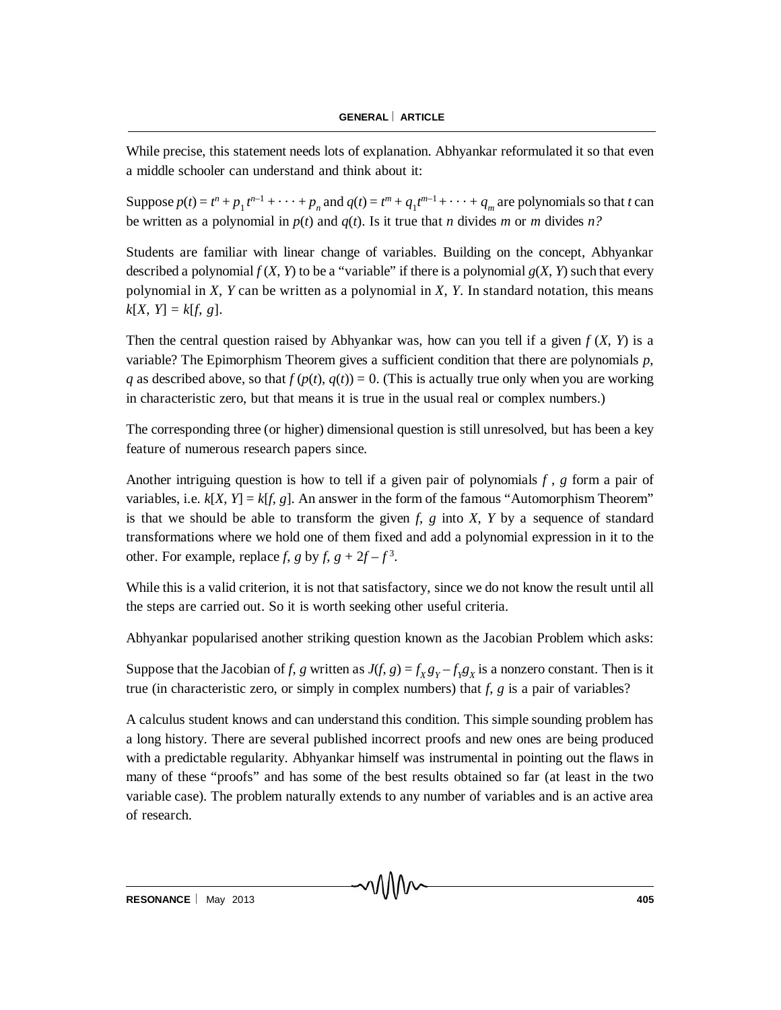While precise, this statement needs lots of explanation. Abhyankar reformulated it so that even a middle schooler can understand and think about it:

Suppose  $p(t) = t^n + p_1 t^{n-1} + \cdots + p_n$  and  $q(t) = t^m + q_1 t^{m-1} + \cdots + q_m$  are polynomials so that *t* can be written as a polynomial in  $p(t)$  and  $q(t)$ . Is it true that *n* divides *m* or *m* divides *n*?

Students are familiar with linear change of variables. Building on the concept, Abhyankar described a polynomial  $f(X, Y)$  to be a "variable" if there is a polynomial  $g(X, Y)$  such that every polynomial in *X*, *Y* can be written as a polynomial in *X*, *Y*. In standard notation, this means  $k[X, Y] = k[f, g].$ 

Then the central question raised by Abhyankar was, how can you tell if a given  $f(X, Y)$  is a variable? The Epimorphism Theorem gives a sufficient condition that there are polynomials *p*, *q* as described above, so that  $f(p(t), q(t)) = 0$ . (This is actually true only when you are working in characteristic zero, but that means it is true in the usual real or complex numbers.)

The corresponding three (or higher) dimensional question is still unresolved, but has been a key feature of numerous research papers since.

Another intriguing question is how to tell if a given pair of polynomials *f* , *g* form a pair of variables, i.e.  $k[X, Y] = k[f, g]$ . An answer in the form of the famous "Automorphism Theorem" is that we should be able to transform the given  $f$ ,  $g$  into  $X$ ,  $Y$  by a sequence of standard transformations where we hold one of them fixed and add a polynomial expression in it to the other. For example, replace *f*, *g* by *f*,  $g + 2f - f^3$ .

While this is a valid criterion, it is not that satisfactory, since we do not know the result until all the steps are carried out. So it is worth seeking other useful criteria.

Abhyankar popularised another striking question known as the Jacobian Problem which asks:

Suppose that the Jacobian of *f*, *g* written as  $J(f, g) = f_X g_Y - f_Y g_X$  is a nonzero constant. Then is it true (in characteristic zero, or simply in complex numbers) that *f*, *g* is a pair of variables?

A calculus student knows and can understand this condition. This simple sounding problem has a long history. There are several published incorrect proofs and new ones are being produced with a predictable regularity. Abhyankar himself was instrumental in pointing out the flaws in many of these "proofs" and has some of the best results obtained so far (at least in the two variable case). The problem naturally extends to any number of variables and is an active area of research.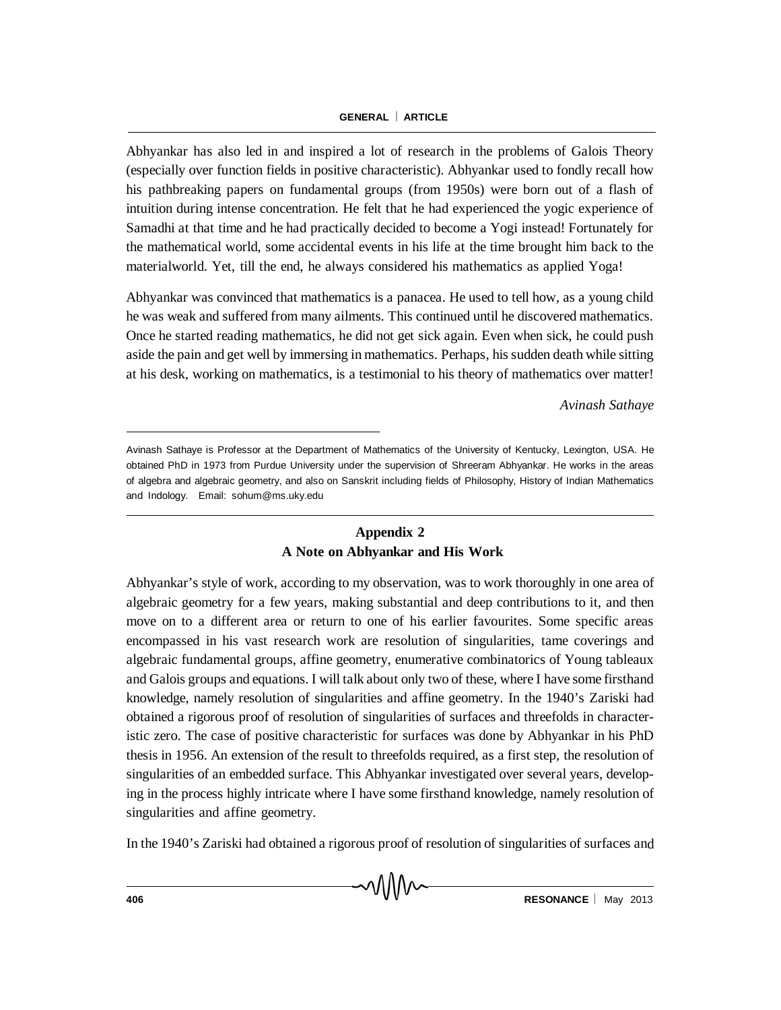Abhyankar has also led in and inspired a lot of research in the problems of Galois Theory (especially over function fields in positive characteristic). Abhyankar used to fondly recall how his pathbreaking papers on fundamental groups (from 1950s) were born out of a flash of intuition during intense concentration. He felt that he had experienced the yogic experience of Samadhi at that time and he had practically decided to become a Yogi instead! Fortunately for the mathematical world, some accidental events in his life at the time brought him back to the materialworld. Yet, till the end, he always considered his mathematics as applied Yoga!

Abhyankar was convinced that mathematics is a panacea. He used to tell how, as a young child he was weak and suffered from many ailments. This continued until he discovered mathematics. Once he started reading mathematics, he did not get sick again. Even when sick, he could push aside the pain and get well by immersing in mathematics. Perhaps, his sudden death while sitting at his desk, working on mathematics, is a testimonial to his theory of mathematics over matter!

*Avinash Sathaye*

# **Appendix 2 A Note on Abhyankar and His Work**

Abhyankar's style of work, according to my observation, was to work thoroughly in one area of algebraic geometry for a few years, making substantial and deep contributions to it, and then move on to a different area or return to one of his earlier favourites. Some specific areas encompassed in his vast research work are resolution of singularities, tame coverings and algebraic fundamental groups, affine geometry, enumerative combinatorics of Young tableaux and Galois groups and equations. I will talk about only two of these, where I have some firsthand knowledge, namely resolution of singularities and affine geometry. In the 1940's Zariski had obtained a rigorous proof of resolution of singularities of surfaces and threefolds in characteristic zero. The case of positive characteristic for surfaces was done by Abhyankar in his PhD thesis in 1956. An extension of the result to threefolds required, as a first step, the resolution of singularities of an embedded surface. This Abhyankar investigated over several years, developing in the process highly intricate where I have some firsthand knowledge, namely resolution of singularities and affine geometry.

In the 1940's Zariski had obtained a rigorous proof of resolution of singularities of surfaces and

Avinash Sathaye is Professor at the Department of Mathematics of the University of Kentucky, Lexington, USA. He obtained PhD in 1973 from Purdue University under the supervision of Shreeram Abhyankar. He works in the areas of algebra and algebraic geometry, and also on Sanskrit including fields of Philosophy, History of Indian Mathematics and Indology. Email: sohum@ms.uky.edu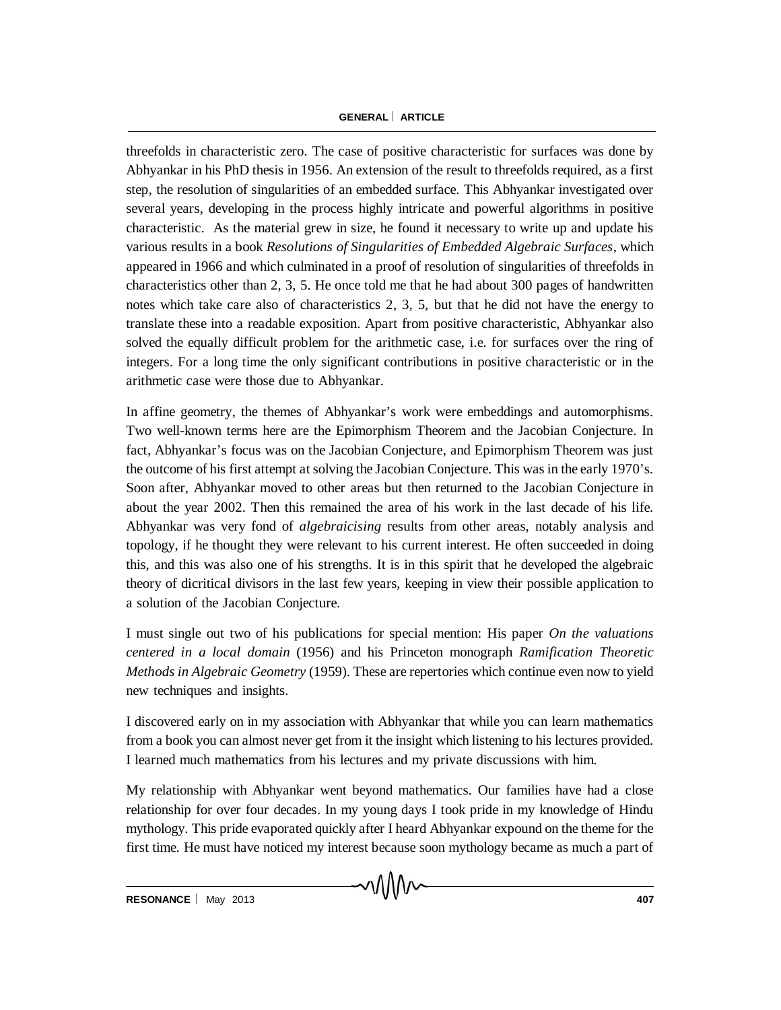threefolds in characteristic zero. The case of positive characteristic for surfaces was done by Abhyankar in his PhD thesis in 1956. An extension of the result to threefolds required, as a first step, the resolution of singularities of an embedded surface. This Abhyankar investigated over several years, developing in the process highly intricate and powerful algorithms in positive characteristic. As the material grew in size, he found it necessary to write up and update his various results in a book *Resolutions of Singularities of Embedded Algebraic Surfaces*, which appeared in 1966 and which culminated in a proof of resolution of singularities of threefolds in characteristics other than 2, 3, 5. He once told me that he had about 300 pages of handwritten notes which take care also of characteristics 2, 3, 5, but that he did not have the energy to translate these into a readable exposition. Apart from positive characteristic, Abhyankar also solved the equally difficult problem for the arithmetic case, i.e. for surfaces over the ring of integers. For a long time the only significant contributions in positive characteristic or in the arithmetic case were those due to Abhyankar.

In affine geometry, the themes of Abhyankar's work were embeddings and automorphisms. Two well-known terms here are the Epimorphism Theorem and the Jacobian Conjecture. In fact, Abhyankar's focus was on the Jacobian Conjecture, and Epimorphism Theorem was just the outcome of his first attempt at solving the Jacobian Conjecture. This was in the early 1970's. Soon after, Abhyankar moved to other areas but then returned to the Jacobian Conjecture in about the year 2002. Then this remained the area of his work in the last decade of his life. Abhyankar was very fond of *algebraicising* results from other areas, notably analysis and topology, if he thought they were relevant to his current interest. He often succeeded in doing this, and this was also one of his strengths. It is in this spirit that he developed the algebraic theory of dicritical divisors in the last few years, keeping in view their possible application to a solution of the Jacobian Conjecture.

I must single out two of his publications for special mention: His paper *On the valuations centered in a local domain* (1956) and his Princeton monograph *Ramification Theoretic Methods in Algebraic Geometry* (1959). These are repertories which continue even now to yield new techniques and insights.

I discovered early on in my association with Abhyankar that while you can learn mathematics from a book you can almost never get from it the insight which listening to his lectures provided. I learned much mathematics from his lectures and my private discussions with him.

My relationship with Abhyankar went beyond mathematics. Our families have had a close relationship for over four decades. In my young days I took pride in my knowledge of Hindu mythology. This pride evaporated quickly after I heard Abhyankar expound on the theme for the first time. He must have noticed my interest because soon mythology became as much a part of

MM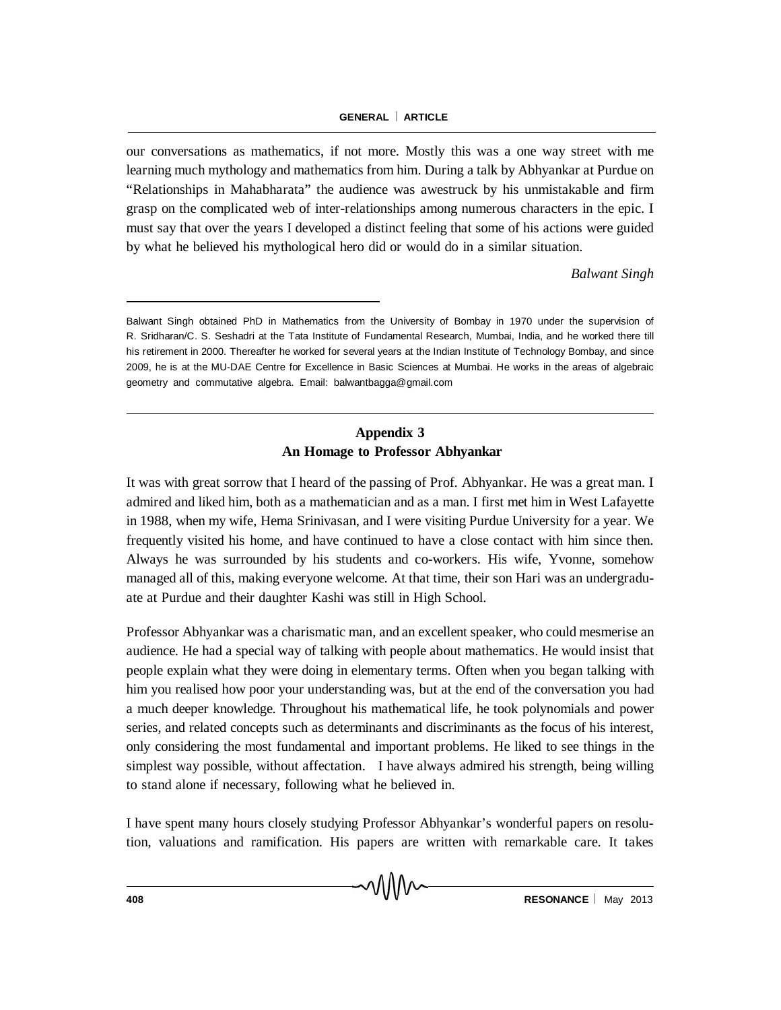our conversations as mathematics, if not more. Mostly this was a one way street with me learning much mythology and mathematics from him. During a talk by Abhyankar at Purdue on "Relationships in Mahabharata" the audience was awestruck by his unmistakable and firm grasp on the complicated web of inter-relationships among numerous characters in the epic. I must say that over the years I developed a distinct feeling that some of his actions were guided by what he believed his mythological hero did or would do in a similar situation.

## *Balwant Singh*

# **Appendix 3 An Homage to Professor Abhyankar**

It was with great sorrow that I heard of the passing of Prof. Abhyankar. He was a great man. I admired and liked him, both as a mathematician and as a man. I first met him in West Lafayette in 1988, when my wife, Hema Srinivasan, and I were visiting Purdue University for a year. We frequently visited his home, and have continued to have a close contact with him since then. Always he was surrounded by his students and co-workers. His wife, Yvonne, somehow managed all of this, making everyone welcome. At that time, their son Hari was an undergraduate at Purdue and their daughter Kashi was still in High School.

Professor Abhyankar was a charismatic man, and an excellent speaker, who could mesmerise an audience. He had a special way of talking with people about mathematics. He would insist that people explain what they were doing in elementary terms. Often when you began talking with him you realised how poor your understanding was, but at the end of the conversation you had a much deeper knowledge. Throughout his mathematical life, he took polynomials and power series, and related concepts such as determinants and discriminants as the focus of his interest, only considering the most fundamental and important problems. He liked to see things in the simplest way possible, without affectation. I have always admired his strength, being willing to stand alone if necessary, following what he believed in.

I have spent many hours closely studying Professor Abhyankar's wonderful papers on resolution, valuations and ramification. His papers are written with remarkable care. It takes

Balwant Singh obtained PhD in Mathematics from the University of Bombay in 1970 under the supervision of R. Sridharan/C. S. Seshadri at the Tata Institute of Fundamental Research, Mumbai, India, and he worked there till his retirement in 2000. Thereafter he worked for several years at the Indian Institute of Technology Bombay, and since 2009, he is at the MU-DAE Centre for Excellence in Basic Sciences at Mumbai. He works in the areas of algebraic geometry and commutative algebra. Email: balwantbagga@gmail.com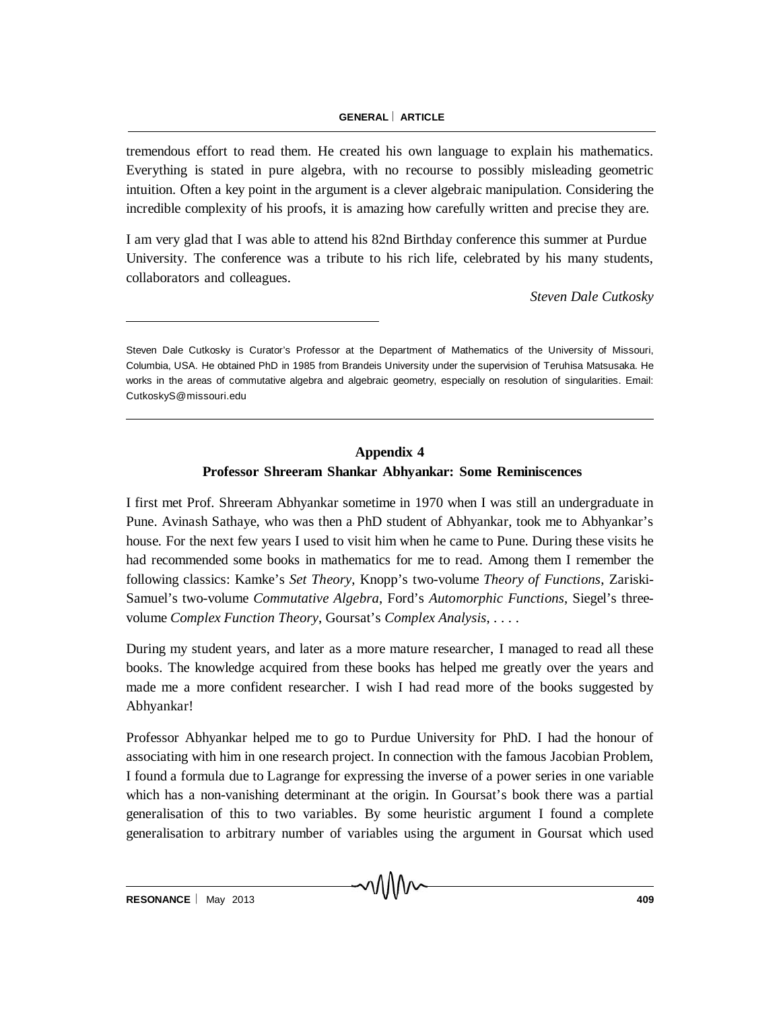tremendous effort to read them. He created his own language to explain his mathematics. Everything is stated in pure algebra, with no recourse to possibly misleading geometric intuition. Often a key point in the argument is a clever algebraic manipulation. Considering the incredible complexity of his proofs, it is amazing how carefully written and precise they are.

I am very glad that I was able to attend his 82nd Birthday conference this summer at Purdue University. The conference was a tribute to his rich life, celebrated by his many students, collaborators and colleagues.

*Steven Dale Cutkosky*

Steven Dale Cutkosky is Curator's Professor at the Department of Mathematics of the University of Missouri, Columbia, USA. He obtained PhD in 1985 from Brandeis University under the supervision of Teruhisa Matsusaka. He works in the areas of commutative algebra and algebraic geometry, especially on resolution of singularities. Email: CutkoskyS@missouri.edu

# **Appendix 4 Professor Shreeram Shankar Abhyankar: Some Reminiscences**

I first met Prof. Shreeram Abhyankar sometime in 1970 when I was still an undergraduate in Pune. Avinash Sathaye, who was then a PhD student of Abhyankar, took me to Abhyankar's house. For the next few years I used to visit him when he came to Pune. During these visits he had recommended some books in mathematics for me to read. Among them I remember the following classics: Kamke's *Set Theory*, Knopp's two-volume *Theory of Functions*, Zariski-Samuel's two-volume *Commutative Algebra*, Ford's *Automorphic Functions*, Siegel's threevolume *Complex Function Theory*, Goursat's *Complex Analysis*,....

During my student years, and later as a more mature researcher, I managed to read all these books. The knowledge acquired from these books has helped me greatly over the years and made me a more confident researcher. I wish I had read more of the books suggested by Abhyankar!

Professor Abhyankar helped me to go to Purdue University for PhD. I had the honour of associating with him in one research project. In connection with the famous Jacobian Problem, I found a formula due to Lagrange for expressing the inverse of a power series in one variable which has a non-vanishing determinant at the origin. In Goursat's book there was a partial generalisation of this to two variables. By some heuristic argument I found a complete generalisation to arbitrary number of variables using the argument in Goursat which used

MMN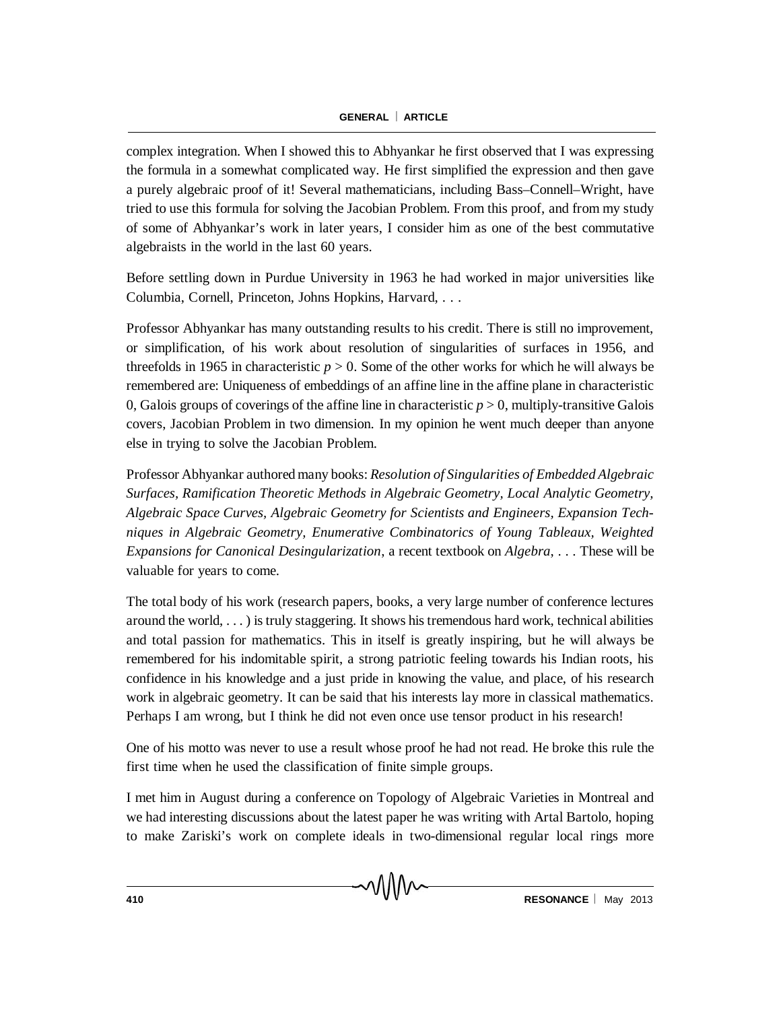complex integration. When I showed this to Abhyankar he first observed that I was expressing the formula in a somewhat complicated way. He first simplified the expression and then gave a purely algebraic proof of it! Several mathematicians, including Bass–Connell–Wright, have tried to use this formula for solving the Jacobian Problem. From this proof, and from my study of some of Abhyankar's work in later years, I consider him as one of the best commutative algebraists in the world in the last 60 years.

Before settling down in Purdue University in 1963 he had worked in major universities like Columbia, Cornell, Princeton, Johns Hopkins, Harvard, . . .

Professor Abhyankar has many outstanding results to his credit. There is still no improvement, or simplification, of his work about resolution of singularities of surfaces in 1956, and threefolds in 1965 in characteristic  $p > 0$ . Some of the other works for which he will always be remembered are: Uniqueness of embeddings of an affine line in the affine plane in characteristic 0, Galois groups of coverings of the affine line in characteristic  $p > 0$ , multiply-transitive Galois covers, Jacobian Problem in two dimension. In my opinion he went much deeper than anyone else in trying to solve the Jacobian Problem.

Professor Abhyankar authored many books: *Resolution of Singularities of Embedded Algebraic Surfaces, Ramification Theoretic Methods in Algebraic Geometry, Local Analytic Geometry, Algebraic Space Curves, Algebraic Geometry for Scientists and Engineers, Expansion Techniques in Algebraic Geometry, Enumerative Combinatorics of Young Tableaux, Weighted Expansions for Canonical Desingularization*, a recent textbook on *Algebra*, . . . These will be valuable for years to come.

The total body of his work (research papers, books, a very large number of conference lectures around the world, . . . ) is truly staggering. It shows his tremendous hard work, technical abilities and total passion for mathematics. This in itself is greatly inspiring, but he will always be remembered for his indomitable spirit, a strong patriotic feeling towards his Indian roots, his confidence in his knowledge and a just pride in knowing the value, and place, of his research work in algebraic geometry. It can be said that his interests lay more in classical mathematics. Perhaps I am wrong, but I think he did not even once use tensor product in his research!

One of his motto was never to use a result whose proof he had not read. He broke this rule the first time when he used the classification of finite simple groups.

I met him in August during a conference on Topology of Algebraic Varieties in Montreal and we had interesting discussions about the latest paper he was writing with Artal Bartolo, hoping to make Zariski's work on complete ideals in two-dimensional regular local rings more

MMW